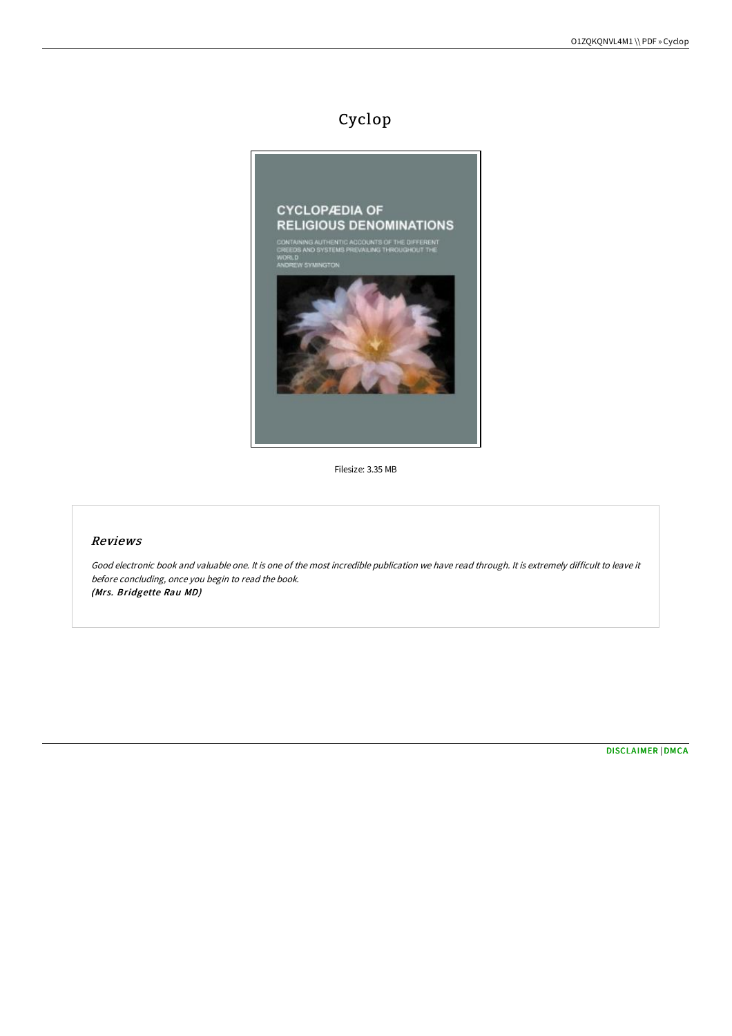# Cyclop



Filesize: 3.35 MB

#### Reviews

Good electronic book and valuable one. It is one of the most incredible publication we have read through. It is extremely difficult to leave it before concluding, once you begin to read the book. (Mrs. Bridgette Rau MD)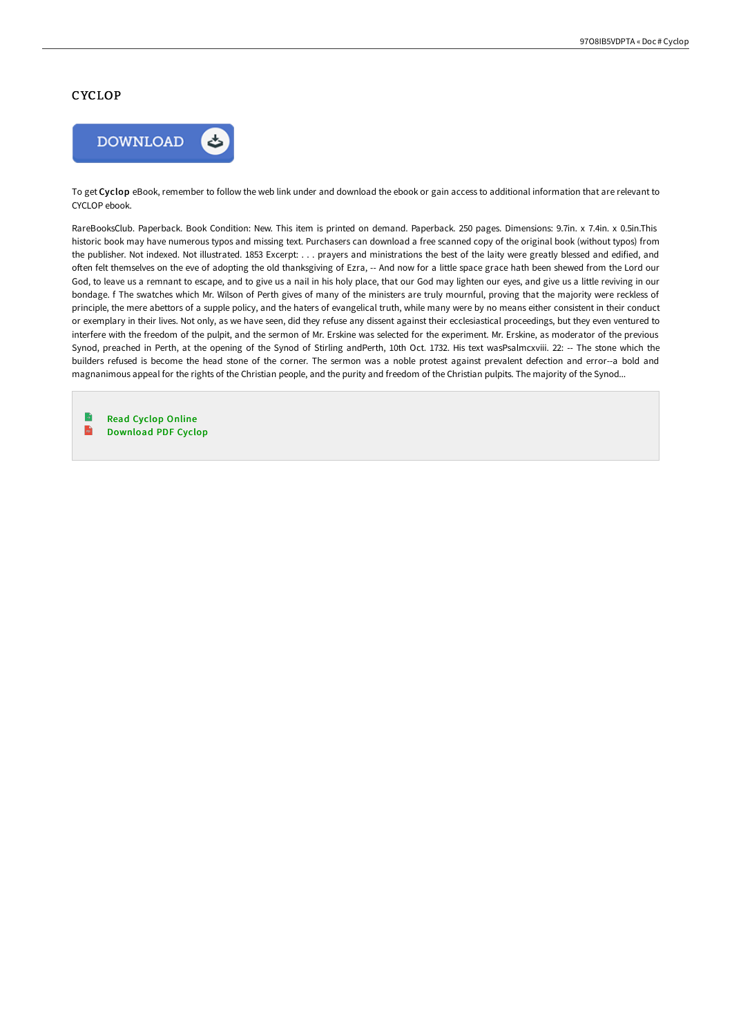#### **CYCLOP**



To get Cyclop eBook, remember to follow the web link under and download the ebook or gain access to additional information that are relevant to CYCLOP ebook.

RareBooksClub. Paperback. Book Condition: New. This item is printed on demand. Paperback. 250 pages. Dimensions: 9.7in. x 7.4in. x 0.5in.This historic book may have numerous typos and missing text. Purchasers can download a free scanned copy of the original book (without typos) from the publisher. Not indexed. Not illustrated. 1853 Excerpt: . . . prayers and ministrations the best of the laity were greatly blessed and edified, and often felt themselves on the eve of adopting the old thanksgiving of Ezra, -- And now for a little space grace hath been shewed from the Lord our God, to leave us a remnant to escape, and to give us a nail in his holy place, that our God may lighten our eyes, and give us a little reviving in our bondage. f The swatches which Mr. Wilson of Perth gives of many of the ministers are truly mournful, proving that the majority were reckless of principle, the mere abettors of a supple policy, and the haters of evangelical truth, while many were by no means either consistent in their conduct or exemplary in their lives. Not only, as we have seen, did they refuse any dissent against their ecclesiastical proceedings, but they even ventured to interfere with the freedom of the pulpit, and the sermon of Mr. Erskine was selected for the experiment. Mr. Erskine, as moderator of the previous Synod, preached in Perth, at the opening of the Synod of Stirling andPerth, 10th Oct. 1732. His text wasPsalmcxviii. 22: -- The stone which the builders refused is become the head stone of the corner. The sermon was a noble protest against prevalent defection and error--a bold and magnanimous appeal for the rights of the Christian people, and the purity and freedom of the Christian pulpits. The majority of the Synod...

Read [Cyclop](http://www.bookdirs.com/cyclop.html) Online  $\mathbf{m}$ [Download](http://www.bookdirs.com/cyclop.html) PDF Cyclop